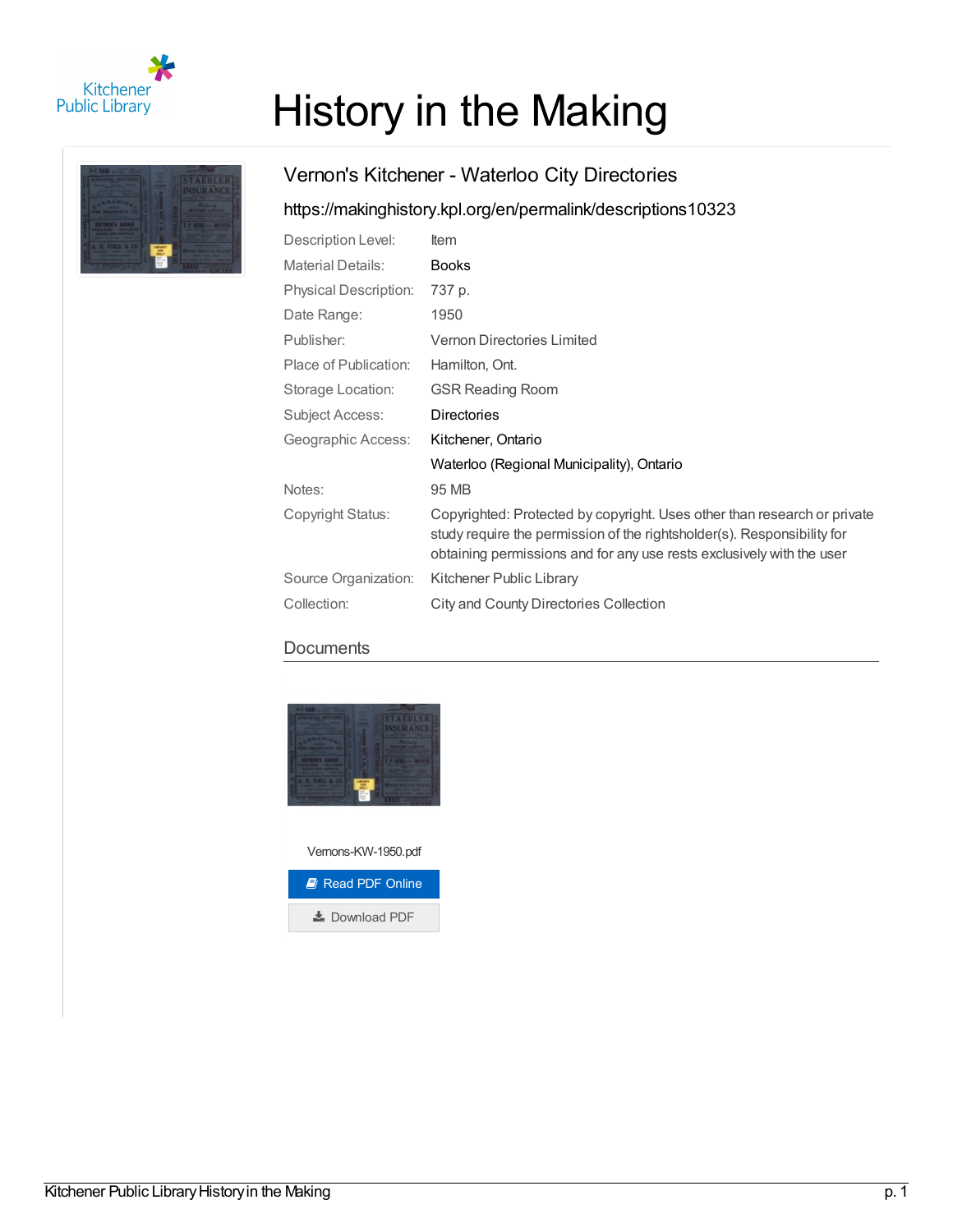

# History in the Making



# Vernon's Kitchener - Waterloo City Directories

## <https://makinghistory.kpl.org/en/permalink/descriptions10323>

| Description Level:           | <b>Item</b>                                                                                                                                                                                                                  |
|------------------------------|------------------------------------------------------------------------------------------------------------------------------------------------------------------------------------------------------------------------------|
| <b>Material Details:</b>     | <b>Books</b>                                                                                                                                                                                                                 |
| <b>Physical Description:</b> | 737 p.                                                                                                                                                                                                                       |
| Date Range:                  | 1950                                                                                                                                                                                                                         |
| Publisher:                   | Vernon Directories Limited                                                                                                                                                                                                   |
| Place of Publication:        | Hamilton, Ont.                                                                                                                                                                                                               |
| Storage Location:            | <b>GSR Reading Room</b>                                                                                                                                                                                                      |
| Subject Access:              | <b>Directories</b>                                                                                                                                                                                                           |
| Geographic Access:           | Kitchener, Ontario                                                                                                                                                                                                           |
|                              | Waterloo (Regional Municipality), Ontario                                                                                                                                                                                    |
| Notes:                       | 95 MB                                                                                                                                                                                                                        |
| Copyright Status:            | Copyrighted: Protected by copyright. Uses other than research or private<br>study require the permission of the rightsholder(s). Responsibility for<br>obtaining permissions and for any use rests exclusively with the user |
| Source Organization:         | Kitchener Public Library                                                                                                                                                                                                     |
| Collection:                  | City and County Directories Collection                                                                                                                                                                                       |

## **Documents**



Vernons-KW-1950.pdf

| <b>E</b> Read PDF Online |  |
|--------------------------|--|
| Download PDF             |  |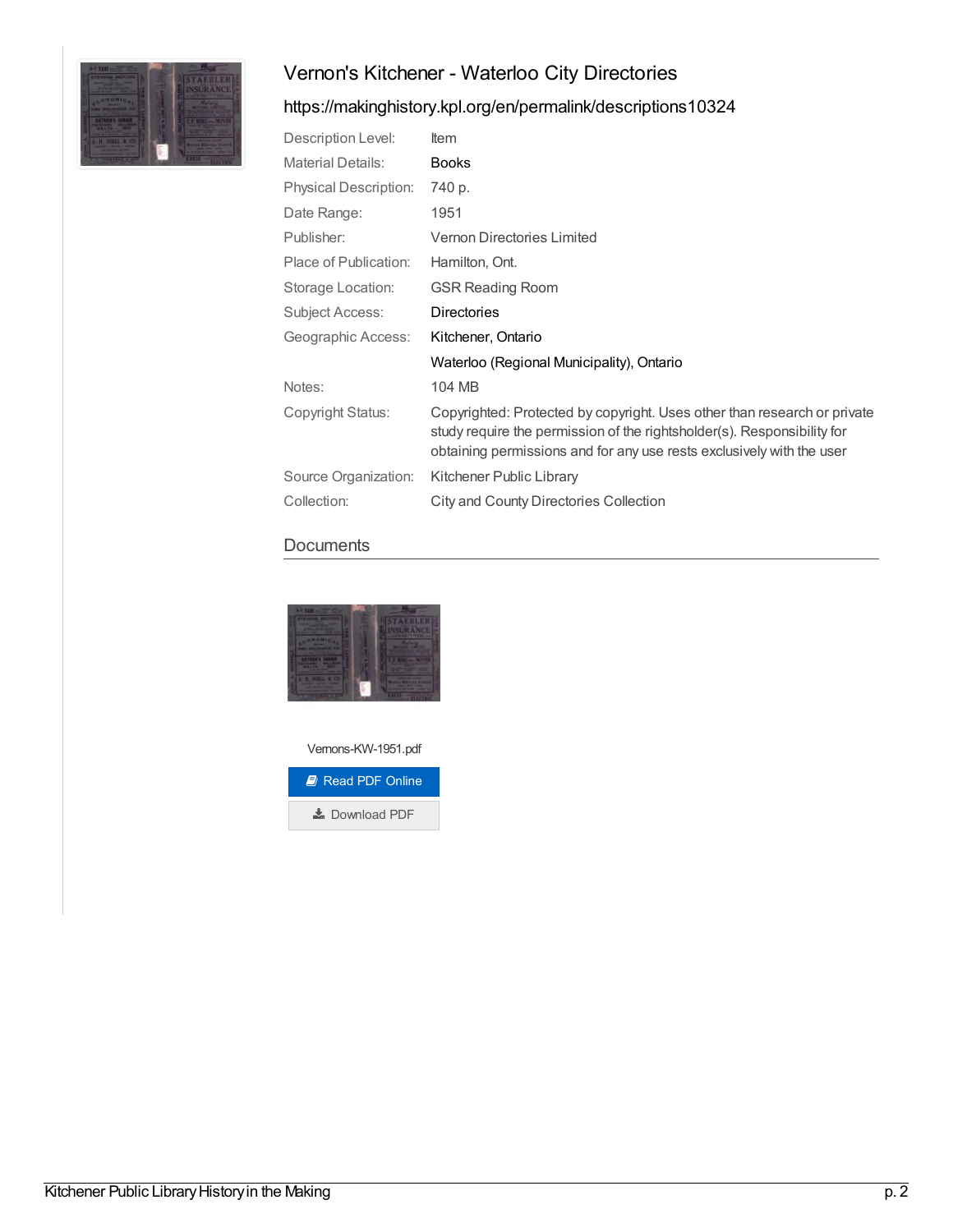

## <https://makinghistory.kpl.org/en/permalink/descriptions10324>

| Description Level:           | ltem                                                                                                                                                                                                                         |
|------------------------------|------------------------------------------------------------------------------------------------------------------------------------------------------------------------------------------------------------------------------|
| <b>Material Details:</b>     | <b>Books</b>                                                                                                                                                                                                                 |
| <b>Physical Description:</b> | 740 p.                                                                                                                                                                                                                       |
| Date Range:                  | 1951                                                                                                                                                                                                                         |
| Publisher:                   | <b>Vernon Directories Limited</b>                                                                                                                                                                                            |
| Place of Publication:        | Hamilton, Ont.                                                                                                                                                                                                               |
| Storage Location:            | <b>GSR Reading Room</b>                                                                                                                                                                                                      |
| Subject Access:              | <b>Directories</b>                                                                                                                                                                                                           |
| Geographic Access:           | Kitchener, Ontario                                                                                                                                                                                                           |
|                              | Waterloo (Regional Municipality), Ontario                                                                                                                                                                                    |
| Notes:                       | 104 MB                                                                                                                                                                                                                       |
| Copyright Status:            | Copyrighted: Protected by copyright. Uses other than research or private<br>study require the permission of the rightsholder(s). Responsibility for<br>obtaining permissions and for any use rests exclusively with the user |
| Source Organization:         | Kitchener Public Library                                                                                                                                                                                                     |
| Collection:                  | City and County Directories Collection                                                                                                                                                                                       |

#### **Documents**



Vernons-KW-1951.pdf

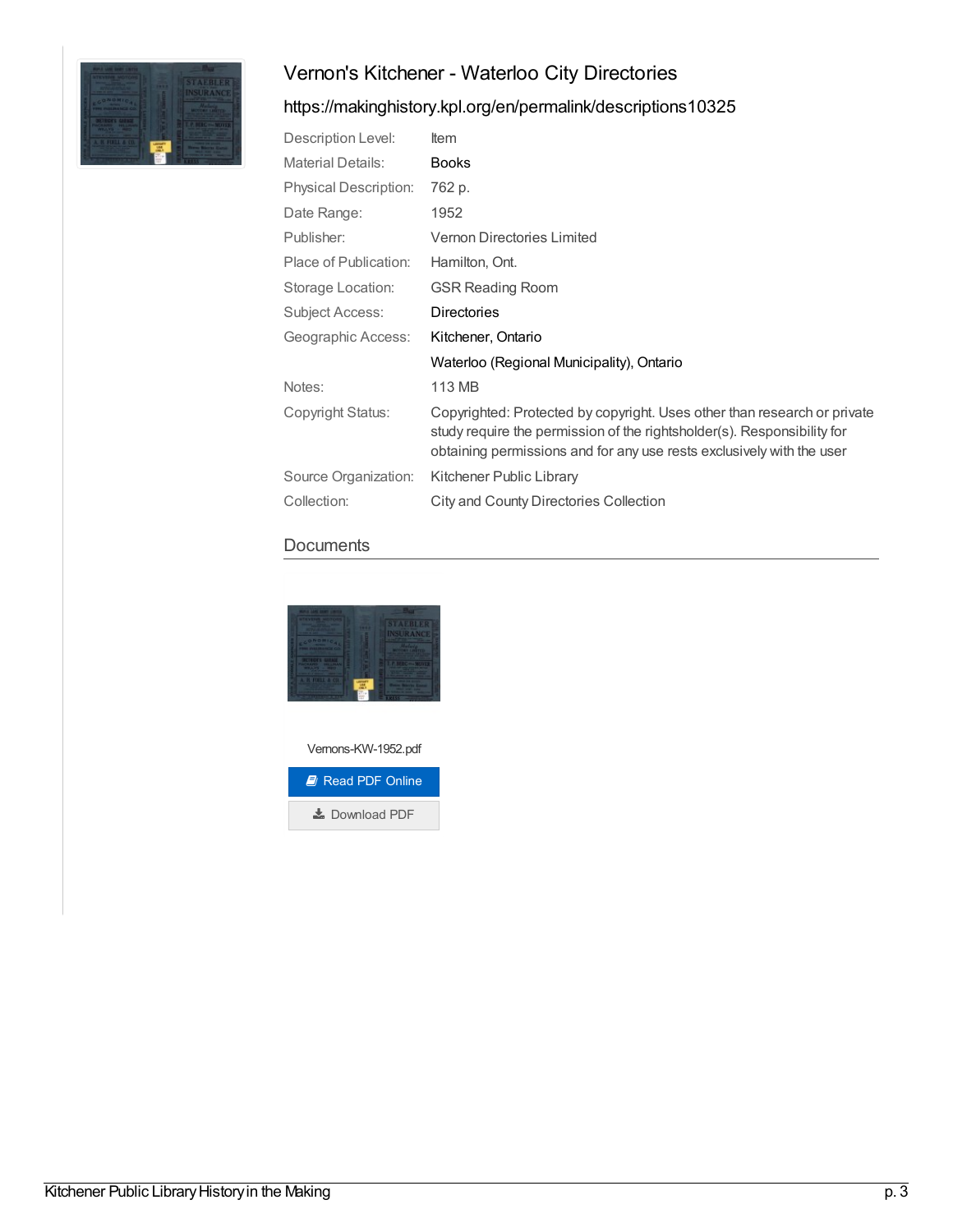

# <https://makinghistory.kpl.org/en/permalink/descriptions10325>

| Description Level:           | <b>Item</b>                                                                                                                                                                                                                  |
|------------------------------|------------------------------------------------------------------------------------------------------------------------------------------------------------------------------------------------------------------------------|
| <b>Material Details:</b>     | <b>Books</b>                                                                                                                                                                                                                 |
| <b>Physical Description:</b> | 762 p.                                                                                                                                                                                                                       |
| Date Range:                  | 1952                                                                                                                                                                                                                         |
| Publisher:                   | <b>Vernon Directories Limited</b>                                                                                                                                                                                            |
| Place of Publication:        | Hamilton, Ont.                                                                                                                                                                                                               |
| Storage Location:            | <b>GSR Reading Room</b>                                                                                                                                                                                                      |
| Subject Access:              | <b>Directories</b>                                                                                                                                                                                                           |
| Geographic Access:           | Kitchener, Ontario                                                                                                                                                                                                           |
|                              | Waterloo (Regional Municipality), Ontario                                                                                                                                                                                    |
| Notes:                       | 113 MB                                                                                                                                                                                                                       |
| Copyright Status:            | Copyrighted: Protected by copyright. Uses other than research or private<br>study require the permission of the rightsholder(s). Responsibility for<br>obtaining permissions and for any use rests exclusively with the user |
| Source Organization:         | Kitchener Public Library                                                                                                                                                                                                     |
| Collection:                  | City and County Directories Collection                                                                                                                                                                                       |

### **Documents**



Vernons-KW-1952.pdf

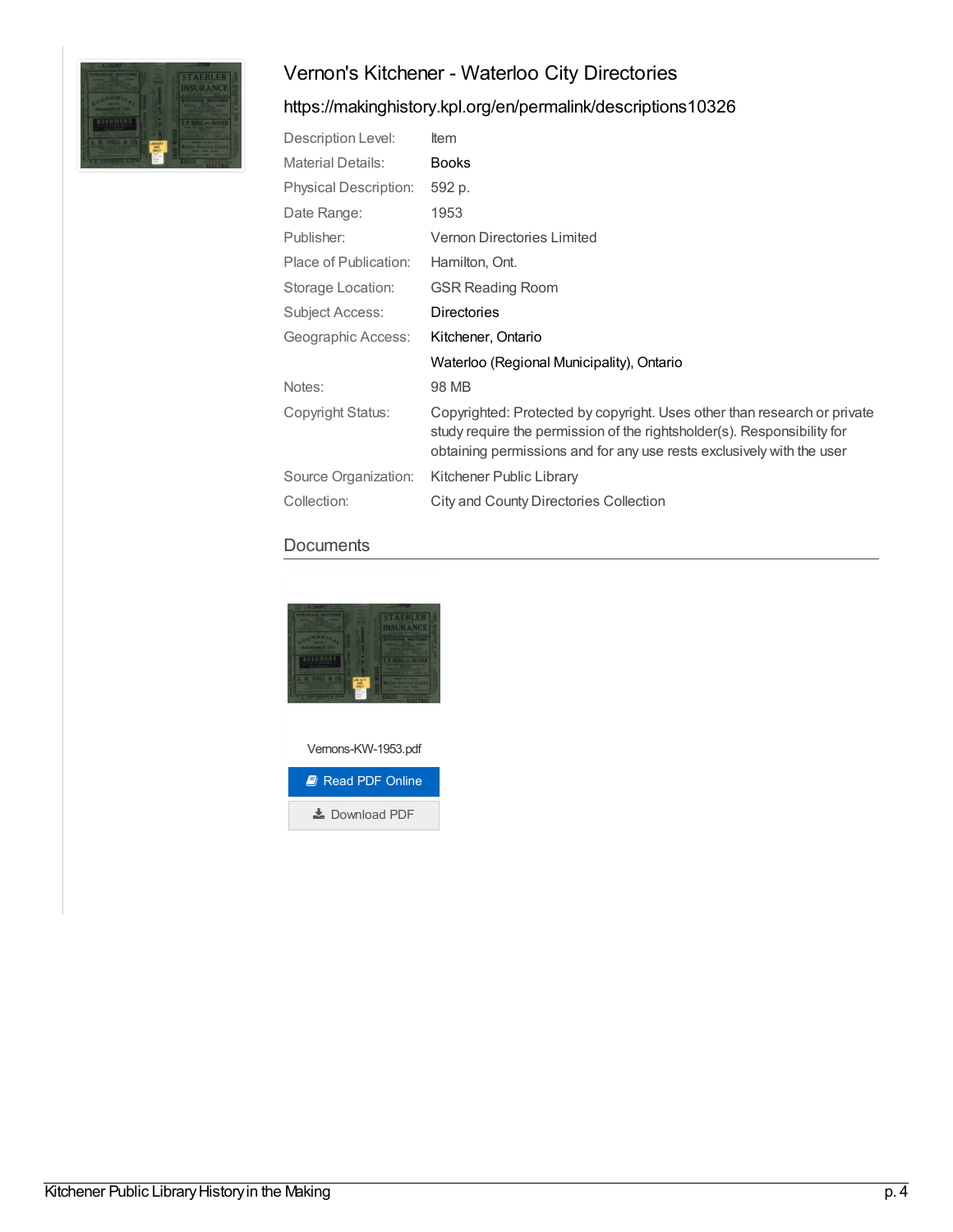

# <https://makinghistory.kpl.org/en/permalink/descriptions10326>

| Description Level:           | <b>Item</b>                                                                                                                                                                                                                  |
|------------------------------|------------------------------------------------------------------------------------------------------------------------------------------------------------------------------------------------------------------------------|
| <b>Material Details:</b>     | <b>Books</b>                                                                                                                                                                                                                 |
| <b>Physical Description:</b> | 592 p.                                                                                                                                                                                                                       |
| Date Range:                  | 1953                                                                                                                                                                                                                         |
| Publisher:                   | Vernon Directories Limited                                                                                                                                                                                                   |
| Place of Publication:        | Hamilton, Ont.                                                                                                                                                                                                               |
| Storage Location:            | <b>GSR Reading Room</b>                                                                                                                                                                                                      |
| Subject Access:              | <b>Directories</b>                                                                                                                                                                                                           |
| Geographic Access:           | Kitchener, Ontario                                                                                                                                                                                                           |
|                              | Waterloo (Regional Municipality), Ontario                                                                                                                                                                                    |
| Notes:                       | 98 MB                                                                                                                                                                                                                        |
| Copyright Status:            | Copyrighted: Protected by copyright. Uses other than research or private<br>study require the permission of the rightsholder(s). Responsibility for<br>obtaining permissions and for any use rests exclusively with the user |
| Source Organization:         | Kitchener Public Library                                                                                                                                                                                                     |
| Collection:                  | City and County Directories Collection                                                                                                                                                                                       |

#### **Documents**



Vernons-KW-1953.pdf

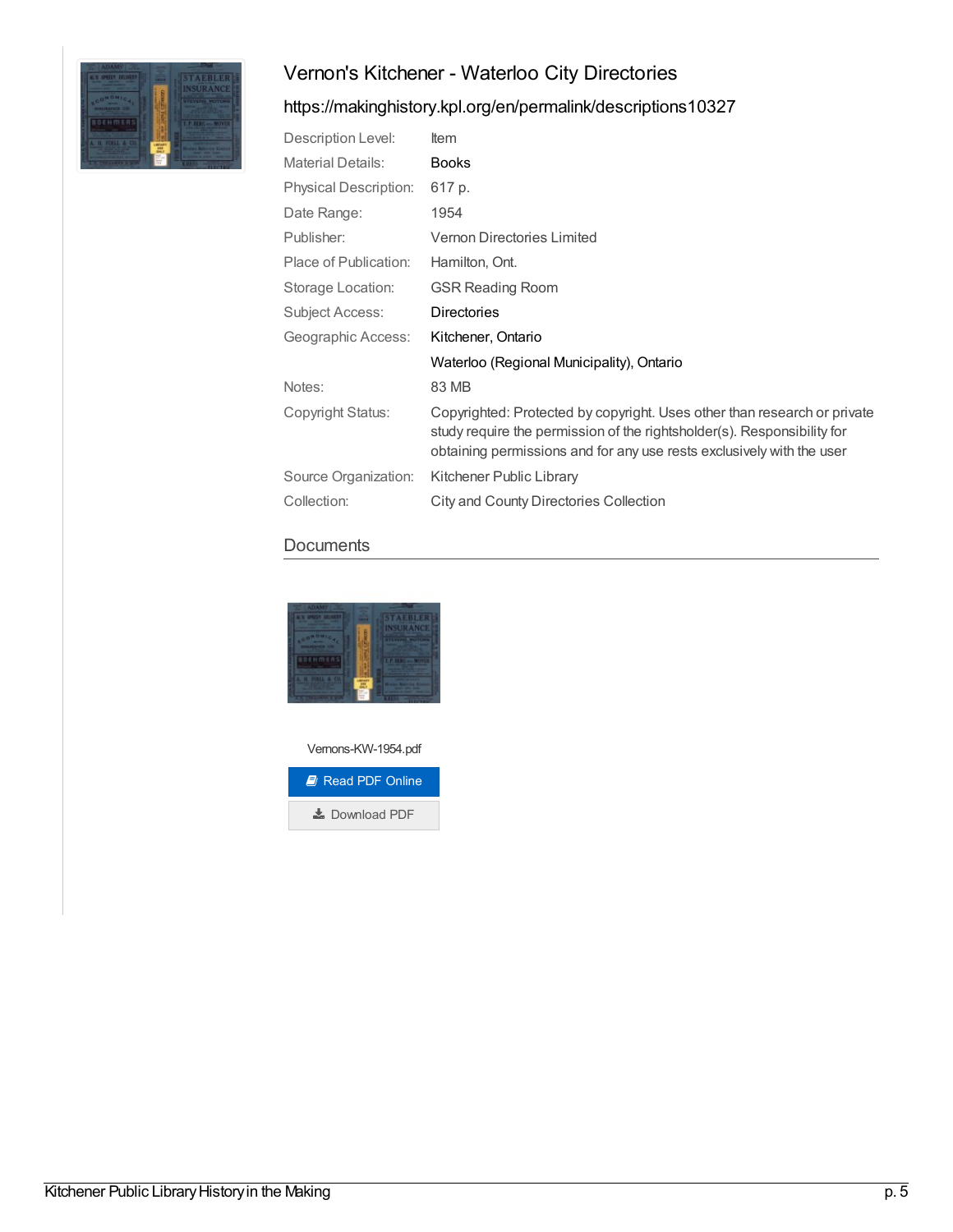

# <https://makinghistory.kpl.org/en/permalink/descriptions10327>

| Description Level:           | ltem                                                                                                                                                                                                                         |
|------------------------------|------------------------------------------------------------------------------------------------------------------------------------------------------------------------------------------------------------------------------|
| <b>Material Details:</b>     | <b>Books</b>                                                                                                                                                                                                                 |
| <b>Physical Description:</b> | 617 p.                                                                                                                                                                                                                       |
| Date Range:                  | 1954                                                                                                                                                                                                                         |
| Publisher:                   | Vernon Directories Limited                                                                                                                                                                                                   |
| Place of Publication:        | Hamilton, Ont.                                                                                                                                                                                                               |
| Storage Location:            | <b>GSR Reading Room</b>                                                                                                                                                                                                      |
| Subject Access:              | <b>Directories</b>                                                                                                                                                                                                           |
| Geographic Access:           | Kitchener, Ontario                                                                                                                                                                                                           |
|                              | Waterloo (Regional Municipality), Ontario                                                                                                                                                                                    |
| Notes:                       | 83 MB                                                                                                                                                                                                                        |
| Copyright Status:            | Copyrighted: Protected by copyright. Uses other than research or private<br>study require the permission of the rightsholder(s). Responsibility for<br>obtaining permissions and for any use rests exclusively with the user |
| Source Organization:         | Kitchener Public Library                                                                                                                                                                                                     |
| Collection:                  | City and County Directories Collection                                                                                                                                                                                       |

#### **Documents**



Vernons-KW-1954.pdf

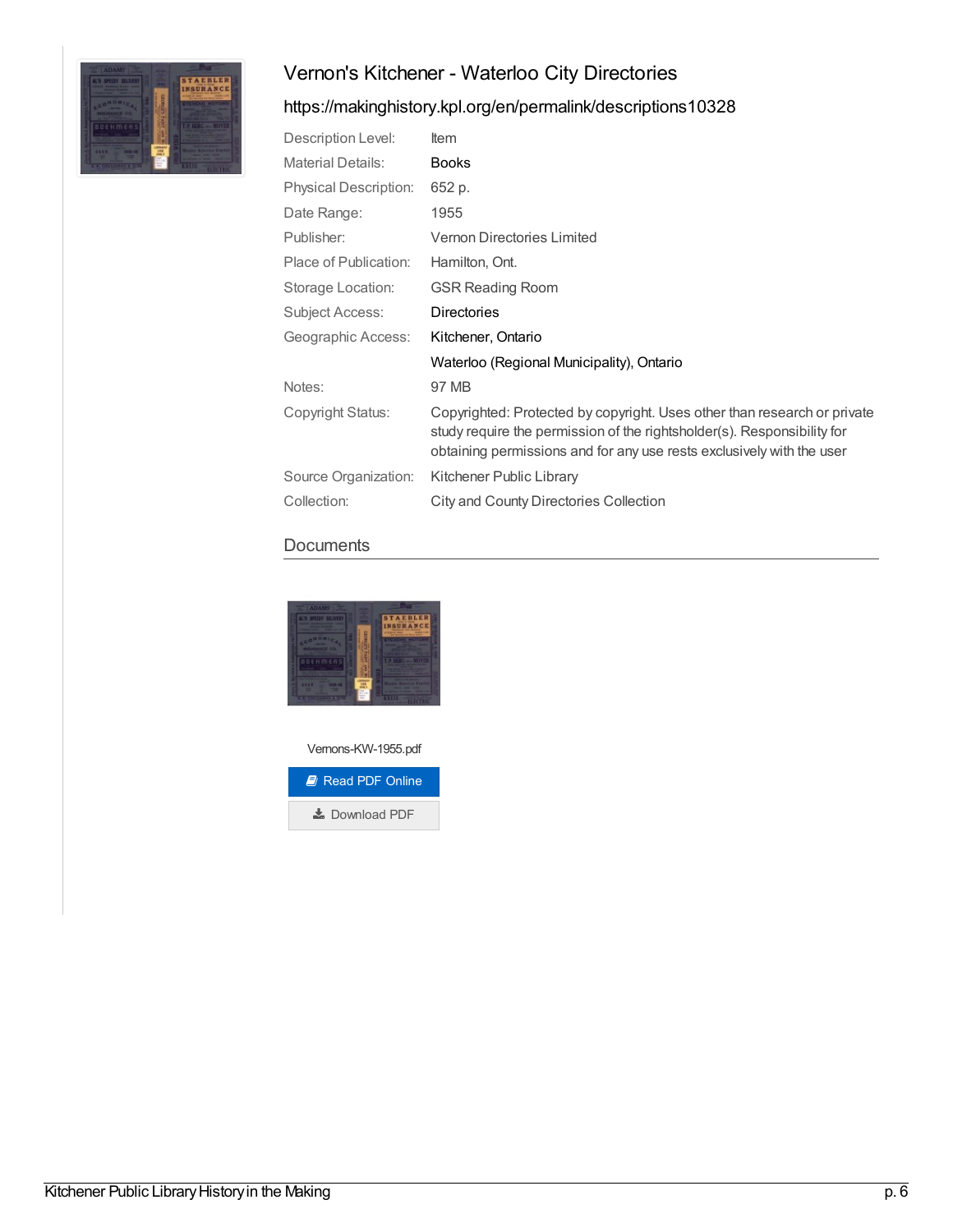

## <https://makinghistory.kpl.org/en/permalink/descriptions10328>

| Description Level:           | Item                                                                                                                                                                                                                         |
|------------------------------|------------------------------------------------------------------------------------------------------------------------------------------------------------------------------------------------------------------------------|
| <b>Material Details:</b>     | <b>Books</b>                                                                                                                                                                                                                 |
| <b>Physical Description:</b> | 652 p.                                                                                                                                                                                                                       |
| Date Range:                  | 1955                                                                                                                                                                                                                         |
| Publisher:                   | Vernon Directories Limited                                                                                                                                                                                                   |
| Place of Publication:        | Hamilton, Ont.                                                                                                                                                                                                               |
| Storage Location:            | <b>GSR Reading Room</b>                                                                                                                                                                                                      |
| <b>Subject Access:</b>       | <b>Directories</b>                                                                                                                                                                                                           |
| Geographic Access:           | Kitchener, Ontario                                                                                                                                                                                                           |
|                              | Waterloo (Regional Municipality), Ontario                                                                                                                                                                                    |
| Notes:                       | 97 MB                                                                                                                                                                                                                        |
| Copyright Status:            | Copyrighted: Protected by copyright. Uses other than research or private<br>study require the permission of the rightsholder(s). Responsibility for<br>obtaining permissions and for any use rests exclusively with the user |
| Source Organization:         | Kitchener Public Library                                                                                                                                                                                                     |
| Collection:                  | City and County Directories Collection                                                                                                                                                                                       |

#### **Documents**



Vernons-KW-1955.pdf

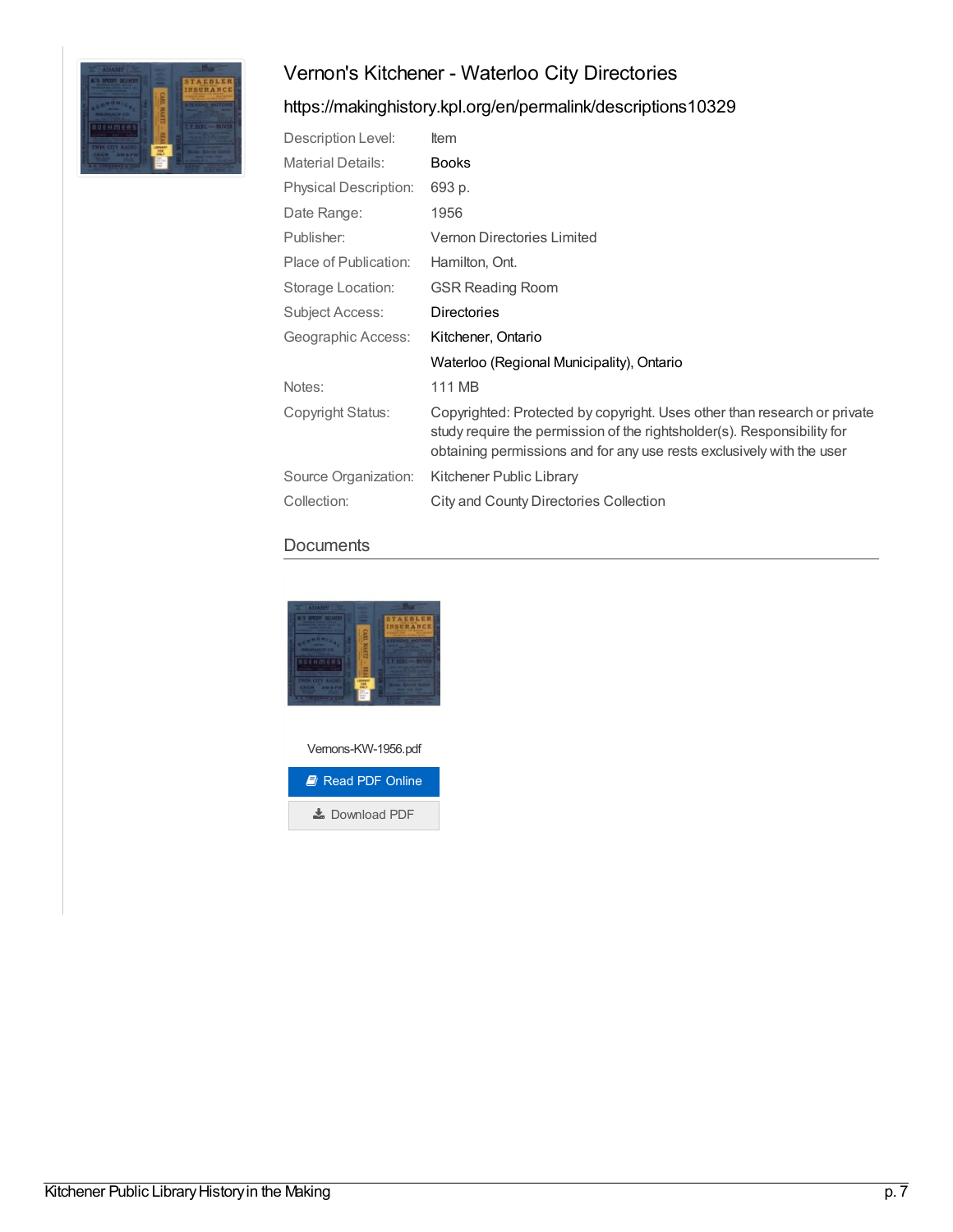

## <https://makinghistory.kpl.org/en/permalink/descriptions10329>

| Description Level:           | ltem                                                                                                                                                                                                                         |
|------------------------------|------------------------------------------------------------------------------------------------------------------------------------------------------------------------------------------------------------------------------|
| <b>Material Details:</b>     | <b>Books</b>                                                                                                                                                                                                                 |
| <b>Physical Description:</b> | 693 p.                                                                                                                                                                                                                       |
| Date Range:                  | 1956                                                                                                                                                                                                                         |
| Publisher:                   | Vernon Directories Limited                                                                                                                                                                                                   |
| Place of Publication:        | Hamilton, Ont.                                                                                                                                                                                                               |
| Storage Location:            | <b>GSR Reading Room</b>                                                                                                                                                                                                      |
| Subject Access:              | <b>Directories</b>                                                                                                                                                                                                           |
| Geographic Access:           | Kitchener, Ontario                                                                                                                                                                                                           |
|                              | Waterloo (Regional Municipality), Ontario                                                                                                                                                                                    |
| Notes:                       | 111 MB                                                                                                                                                                                                                       |
| Copyright Status:            | Copyrighted: Protected by copyright. Uses other than research or private<br>study require the permission of the rightsholder(s). Responsibility for<br>obtaining permissions and for any use rests exclusively with the user |
| Source Organization:         | Kitchener Public Library                                                                                                                                                                                                     |
| Collection:                  | City and County Directories Collection                                                                                                                                                                                       |

## **Documents**



Vernons-KW-1956.pdf

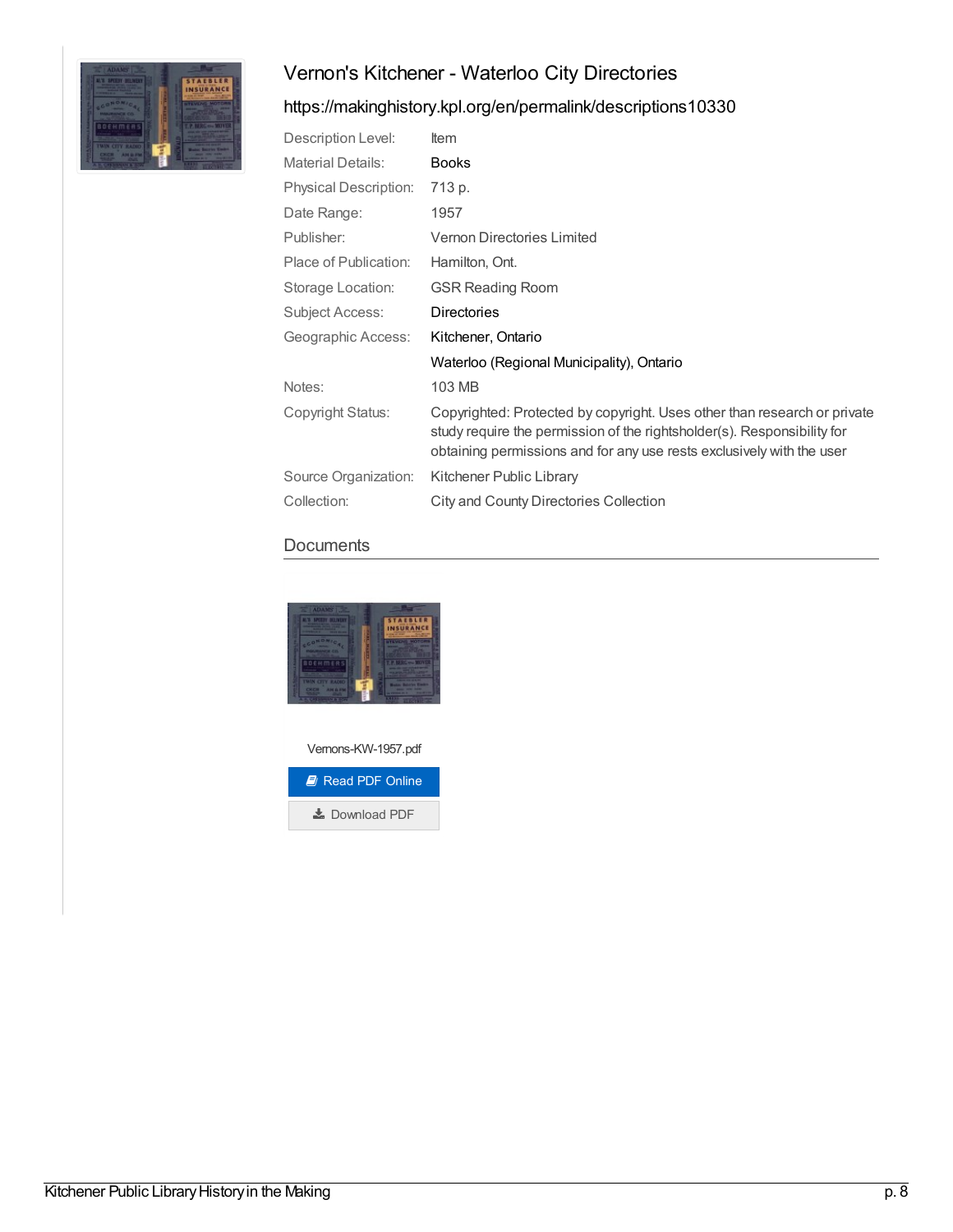

## <https://makinghistory.kpl.org/en/permalink/descriptions10330>

| Description Level:           | Item                                                                                                                                                                                                                         |
|------------------------------|------------------------------------------------------------------------------------------------------------------------------------------------------------------------------------------------------------------------------|
| <b>Material Details:</b>     | <b>Books</b>                                                                                                                                                                                                                 |
| <b>Physical Description:</b> | 713 p.                                                                                                                                                                                                                       |
| Date Range:                  | 1957                                                                                                                                                                                                                         |
| Publisher:                   | Vernon Directories Limited                                                                                                                                                                                                   |
| Place of Publication:        | Hamilton, Ont.                                                                                                                                                                                                               |
| Storage Location:            | <b>GSR Reading Room</b>                                                                                                                                                                                                      |
| Subject Access:              | <b>Directories</b>                                                                                                                                                                                                           |
| Geographic Access:           | Kitchener, Ontario                                                                                                                                                                                                           |
|                              | Waterloo (Regional Municipality), Ontario                                                                                                                                                                                    |
| Notes:                       | 103 MB                                                                                                                                                                                                                       |
| Copyright Status:            | Copyrighted: Protected by copyright. Uses other than research or private<br>study require the permission of the rightsholder(s). Responsibility for<br>obtaining permissions and for any use rests exclusively with the user |
| Source Organization:         | Kitchener Public Library                                                                                                                                                                                                     |
| Collection:                  | <b>City and County Directories Collection</b>                                                                                                                                                                                |

### **Documents**



Vernons-KW-1957.pdf

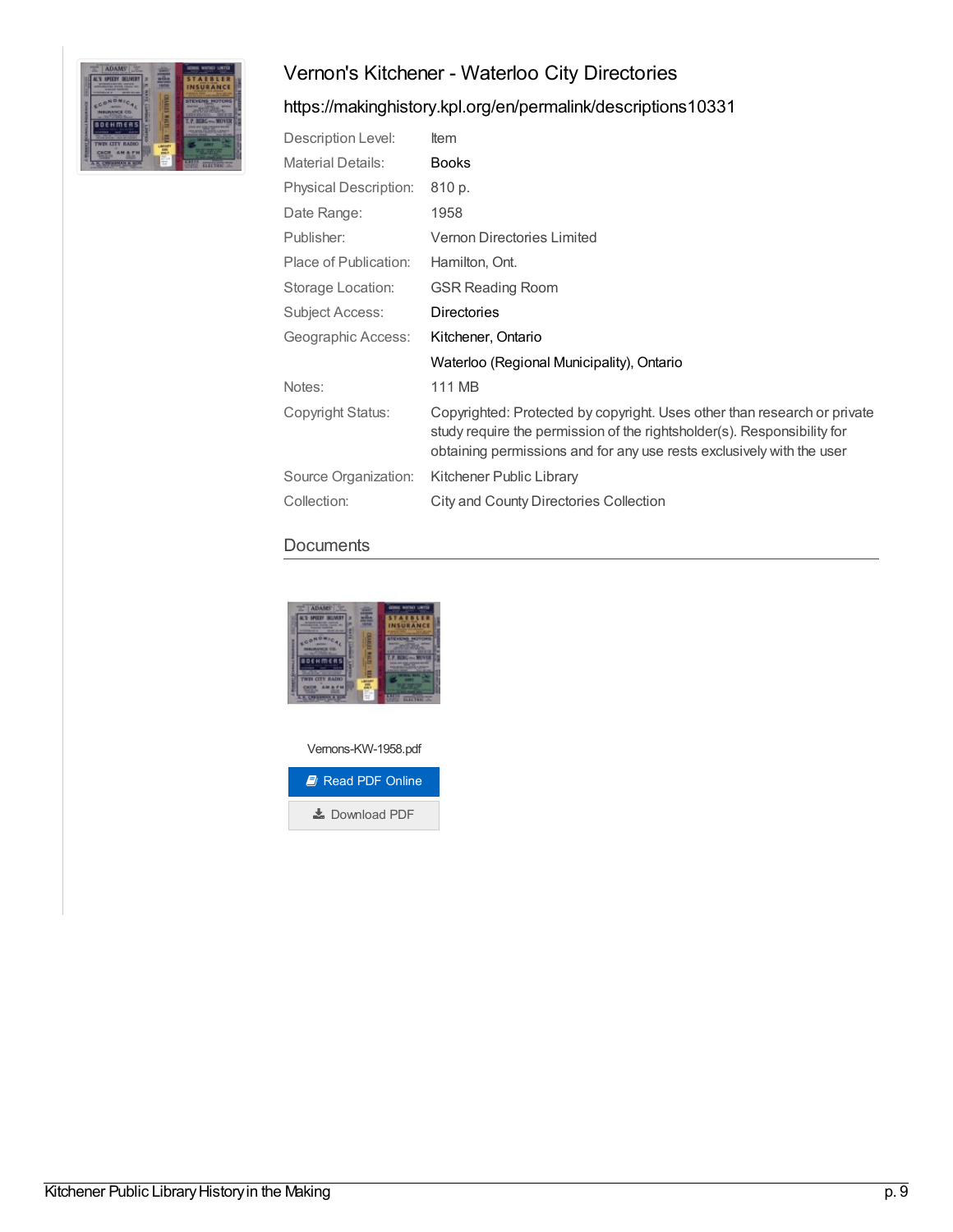

# <https://makinghistory.kpl.org/en/permalink/descriptions10331>

| Description Level:           | <b>Item</b>                                                                                                                                                                                                                  |
|------------------------------|------------------------------------------------------------------------------------------------------------------------------------------------------------------------------------------------------------------------------|
| <b>Material Details:</b>     | <b>Books</b>                                                                                                                                                                                                                 |
| <b>Physical Description:</b> | 810 p.                                                                                                                                                                                                                       |
| Date Range:                  | 1958                                                                                                                                                                                                                         |
| Publisher:                   | <b>Vernon Directories Limited</b>                                                                                                                                                                                            |
| Place of Publication:        | Hamilton, Ont.                                                                                                                                                                                                               |
| Storage Location:            | <b>GSR Reading Room</b>                                                                                                                                                                                                      |
| Subject Access:              | <b>Directories</b>                                                                                                                                                                                                           |
| Geographic Access:           | Kitchener, Ontario                                                                                                                                                                                                           |
|                              | Waterloo (Regional Municipality), Ontario                                                                                                                                                                                    |
| Notes:                       | 111 MB                                                                                                                                                                                                                       |
| Copyright Status:            | Copyrighted: Protected by copyright. Uses other than research or private<br>study require the permission of the rightsholder(s). Responsibility for<br>obtaining permissions and for any use rests exclusively with the user |
| Source Organization:         | Kitchener Public Library                                                                                                                                                                                                     |
| Collection:                  | City and County Directories Collection                                                                                                                                                                                       |

## **Documents**



Vernons-KW-1958.pdf